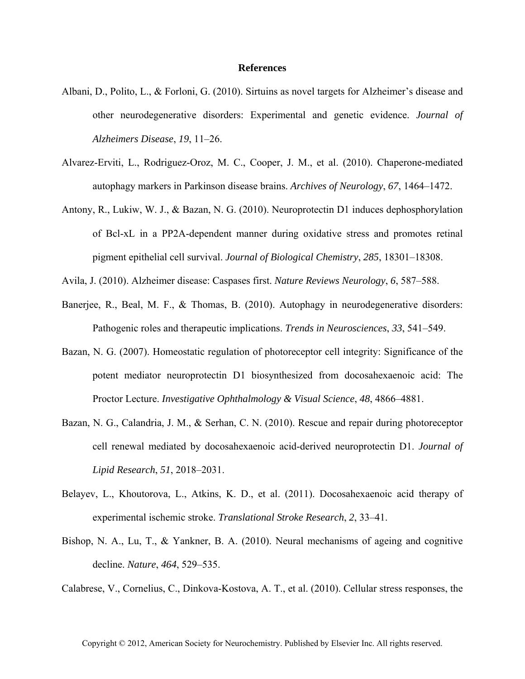## **References**

- Albani, D., Polito, L., & Forloni, G. (2010). Sirtuins as novel targets for Alzheimer's disease and other neurodegenerative disorders: Experimental and genetic evidence. *Journal of Alzheimers Disease*, *19*, 11–26.
- Alvarez-Erviti, L., Rodriguez-Oroz, M. C., Cooper, J. M., et al. (2010). Chaperone-mediated autophagy markers in Parkinson disease brains. *Archives of Neurology*, *67*, 1464–1472.
- Antony, R., Lukiw, W. J., & Bazan, N. G. (2010). Neuroprotectin D1 induces dephosphorylation of Bcl-xL in a PP2A-dependent manner during oxidative stress and promotes retinal pigment epithelial cell survival. *Journal of Biological Chemistry*, *285*, 18301–18308.
- Avila, J. (2010). Alzheimer disease: Caspases first. *Nature Reviews Neurology*, *6*, 587–588.
- Banerjee, R., Beal, M. F., & Thomas, B. (2010). Autophagy in neurodegenerative disorders: Pathogenic roles and therapeutic implications. *Trends in Neurosciences*, *33*, 541–549.
- Bazan, N. G. (2007). Homeostatic regulation of photoreceptor cell integrity: Significance of the potent mediator neuroprotectin D1 biosynthesized from docosahexaenoic acid: The Proctor Lecture. *Investigative Ophthalmology & Visual Science*, *48*, 4866–4881.
- Bazan, N. G., Calandria, J. M., & Serhan, C. N. (2010). Rescue and repair during photoreceptor cell renewal mediated by docosahexaenoic acid-derived neuroprotectin D1. *Journal of Lipid Research*, *51*, 2018–2031.
- Belayev, L., Khoutorova, L., Atkins, K. D., et al. (2011). Docosahexaenoic acid therapy of experimental ischemic stroke. *Translational Stroke Research*, *2*, 33–41.
- Bishop, N. A., Lu, T., & Yankner, B. A. (2010). Neural mechanisms of ageing and cognitive decline. *Nature*, *464*, 529–535.
- Calabrese, V., Cornelius, C., Dinkova-Kostova, A. T., et al. (2010). Cellular stress responses, the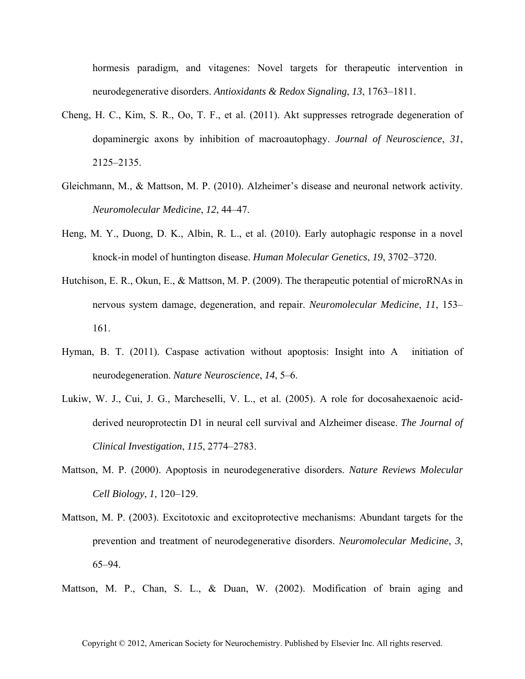hormesis paradigm, and vitagenes: Novel targets for therapeutic intervention in neurodegenerative disorders. *Antioxidants & Redox Signaling*, *13*, 1763–1811.

- Cheng, H. C., Kim, S. R., Oo, T. F., et al. (2011). Akt suppresses retrograde degeneration of dopaminergic axons by inhibition of macroautophagy. *Journal of Neuroscience*, *31*, 2125–2135.
- Gleichmann, M., & Mattson, M. P. (2010). Alzheimer's disease and neuronal network activity. *Neuromolecular Medicine*, *12*, 44–47.
- Heng, M. Y., Duong, D. K., Albin, R. L., et al. (2010). Early autophagic response in a novel knock-in model of huntington disease. *Human Molecular Genetics*, *19*, 3702–3720.
- Hutchison, E. R., Okun, E., & Mattson, M. P. (2009). The therapeutic potential of microRNAs in nervous system damage, degeneration, and repair. *Neuromolecular Medicine*, *11*, 153– 161.
- Hyman, B. T. (2011). Caspase activation without apoptosis: Insight into A initiation of neurodegeneration. *Nature Neuroscience*, *14*, 5–6.
- Lukiw, W. J., Cui, J. G., Marcheselli, V. L., et al. (2005). A role for docosahexaenoic acidderived neuroprotectin D1 in neural cell survival and Alzheimer disease. *The Journal of Clinical Investigation*, *115*, 2774–2783.
- Mattson, M. P. (2000). Apoptosis in neurodegenerative disorders. *Nature Reviews Molecular Cell Biology*, *1*, 120–129.
- Mattson, M. P. (2003). Excitotoxic and excitoprotective mechanisms: Abundant targets for the prevention and treatment of neurodegenerative disorders. *Neuromolecular Medicine*, *3*, 65–94.

Mattson, M. P., Chan, S. L., & Duan, W. (2002). Modification of brain aging and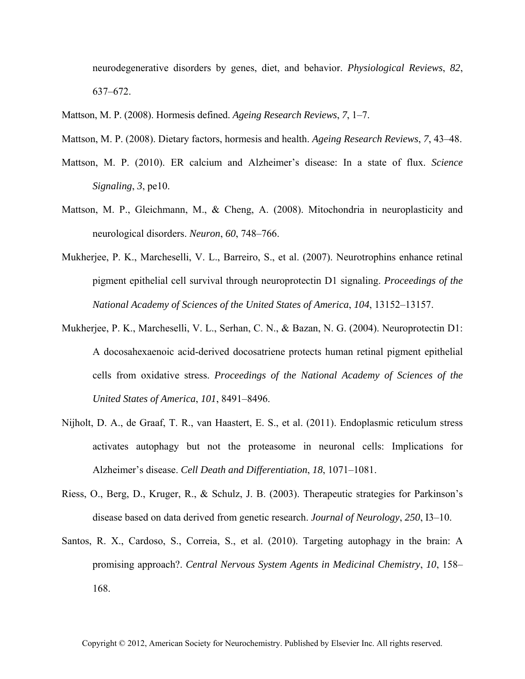neurodegenerative disorders by genes, diet, and behavior. *Physiological Reviews*, *82*, 637–672.

Mattson, M. P. (2008). Hormesis defined. *Ageing Research Reviews*, *7*, 1–7.

Mattson, M. P. (2008). Dietary factors, hormesis and health. *Ageing Research Reviews*, *7*, 43–48.

- Mattson, M. P. (2010). ER calcium and Alzheimer's disease: In a state of flux. *Science Signaling*, *3*, pe10.
- Mattson, M. P., Gleichmann, M., & Cheng, A. (2008). Mitochondria in neuroplasticity and neurological disorders. *Neuron*, *60*, 748–766.
- Mukherjee, P. K., Marcheselli, V. L., Barreiro, S., et al. (2007). Neurotrophins enhance retinal pigment epithelial cell survival through neuroprotectin D1 signaling. *Proceedings of the National Academy of Sciences of the United States of America*, *104*, 13152–13157.
- Mukherjee, P. K., Marcheselli, V. L., Serhan, C. N., & Bazan, N. G. (2004). Neuroprotectin D1: A docosahexaenoic acid-derived docosatriene protects human retinal pigment epithelial cells from oxidative stress. *Proceedings of the National Academy of Sciences of the United States of America*, *101*, 8491–8496.
- Nijholt, D. A., de Graaf, T. R., van Haastert, E. S., et al. (2011). Endoplasmic reticulum stress activates autophagy but not the proteasome in neuronal cells: Implications for Alzheimer's disease. *Cell Death and Differentiation*, *18*, 1071–1081.
- Riess, O., Berg, D., Kruger, R., & Schulz, J. B. (2003). Therapeutic strategies for Parkinson's disease based on data derived from genetic research. *Journal of Neurology*, *250*, I3–10.
- Santos, R. X., Cardoso, S., Correia, S., et al. (2010). Targeting autophagy in the brain: A promising approach?. *Central Nervous System Agents in Medicinal Chemistry*, *10*, 158– 168.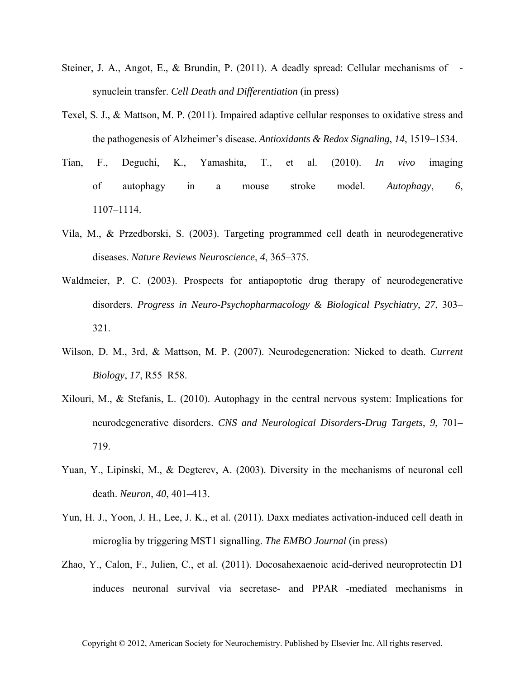- Steiner, J. A., Angot, E., & Brundin, P. (2011). A deadly spread: Cellular mechanisms of synuclein transfer. *Cell Death and Differentiation* (in press)
- Texel, S. J., & Mattson, M. P. (2011). Impaired adaptive cellular responses to oxidative stress and the pathogenesis of Alzheimer's disease. *Antioxidants & Redox Signaling*, *14*, 1519–1534.
- Tian, F., Deguchi, K., Yamashita, T., et al. (2010). *In vivo* imaging of autophagy in a mouse stroke model. *Autophagy*, *6*, 1107–1114.
- Vila, M., & Przedborski, S. (2003). Targeting programmed cell death in neurodegenerative diseases. *Nature Reviews Neuroscience*, *4*, 365–375.
- Waldmeier, P. C. (2003). Prospects for antiapoptotic drug therapy of neurodegenerative disorders. *Progress in Neuro-Psychopharmacology & Biological Psychiatry*, *27*, 303– 321.
- Wilson, D. M., 3rd, & Mattson, M. P. (2007). Neurodegeneration: Nicked to death. *Current Biology*, *17*, R55–R58.
- Xilouri, M., & Stefanis, L. (2010). Autophagy in the central nervous system: Implications for neurodegenerative disorders. *CNS and Neurological Disorders-Drug Targets*, *9*, 701– 719.
- Yuan, Y., Lipinski, M., & Degterev, A. (2003). Diversity in the mechanisms of neuronal cell death. *Neuron*, *40*, 401–413.
- Yun, H. J., Yoon, J. H., Lee, J. K., et al. (2011). Daxx mediates activation-induced cell death in microglia by triggering MST1 signalling. *The EMBO Journal* (in press)
- Zhao, Y., Calon, F., Julien, C., et al. (2011). Docosahexaenoic acid-derived neuroprotectin D1 induces neuronal survival via secretase- and PPAR-mediated mechanisms in